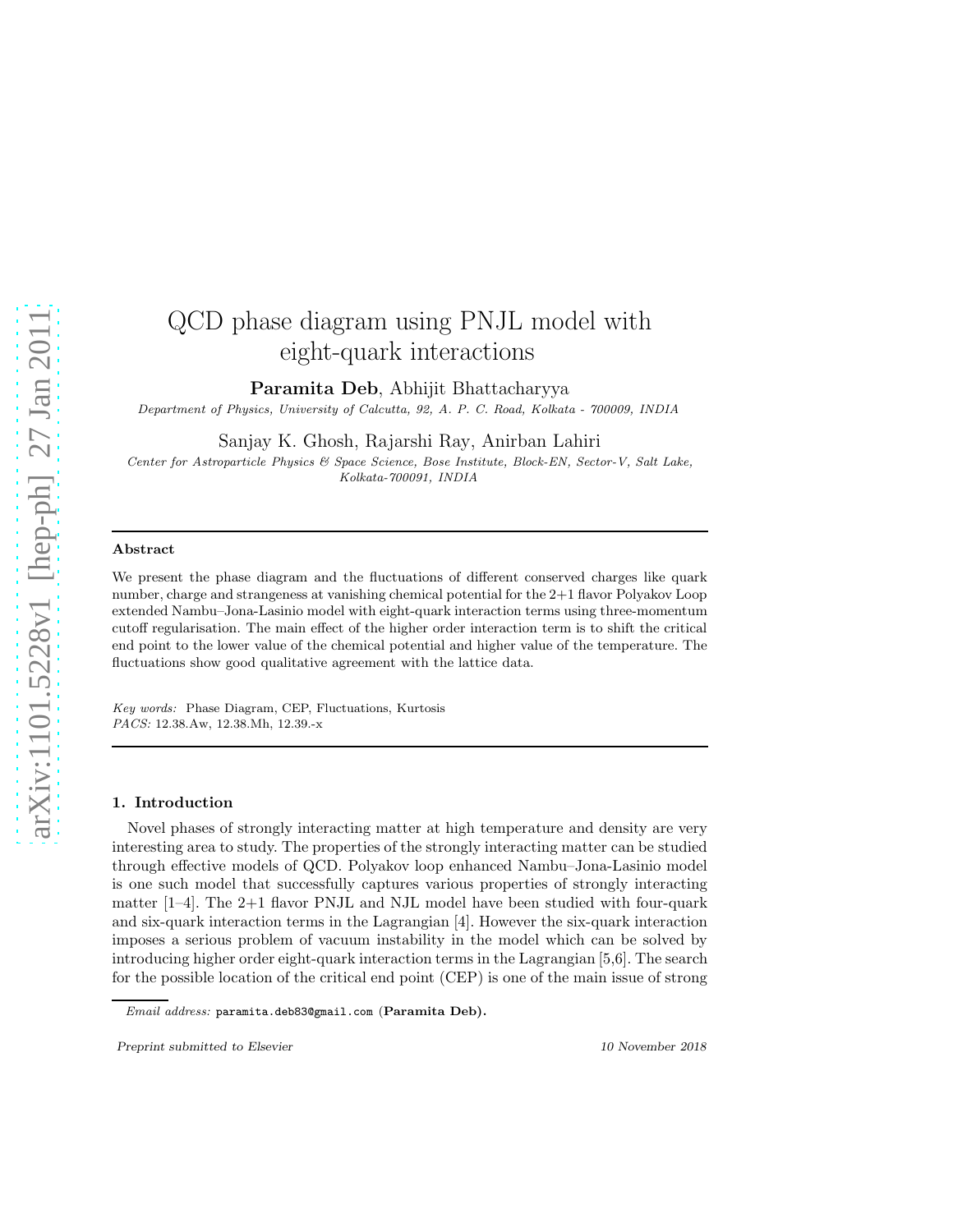# arXiv:1101.5228v1 [hep-ph] 27 Jan 2011 [arXiv:1101.5228v1 \[hep-ph\] 27 Jan 2011](http://arxiv.org/abs/1101.5228v1) *Department of Physics, University of Calcutta, 92, A. P. C. Road, Kolkata - 700009, INDIA Center for Astroparticle Physics & Space Science, Bose Institute, Block-EN, Sector-V, Salt Lake,* Abstract We present the phase diagram and the fluctuations of different conserved charges like quark number, charge and strangeness at vanishing chemical potential for the  $2+1$  flavor Polyakov Loop extended Nambu–Jona-Lasinio model with eight-quark interaction terms using three-momentum cutoff regularisation. The main effect of the higher order interaction term is to shift the critical end point to the lower value of the chemical potential and higher value of the temperature. The

fluctuations show good qualitative agreement with the lattice data.

*Key words:* Phase Diagram, CEP, Fluctuations, Kurtosis *PACS:* 12.38.Aw, 12.38.Mh, 12.39.-x

### 1. Introduction

Novel phases of strongly interacting matter at high temperature and density are very interesting area to study. The properties of the strongly interacting matter can be studied through effective models of QCD. Polyakov loop enhanced Nambu–Jona-Lasinio model is one such model that successfully captures various properties of strongly interacting matter  $[1-4]$ . The 2+1 flavor PNJL and NJL model have been studied with four-quark and six-quark interaction terms in the Lagrangian [4]. However the six-quark interaction imposes a serious problem of vacuum instability in the model which can be solved by introducing higher order eight-quark interaction terms in the Lagrangian [5,6]. The search for the possible location of the critical end point (CEP) is one of the main issue of strong

QCD phase diagram using PNJL model with

eight-quark interactions

Paramita Deb, Abhijit Bhattacharyya

Sanjay K. Ghosh, Rajarshi Ray, Anirban Lahiri

*Kolkata-700091, INDIA*

Preprint submitted to Elsevier 10 November 2018

*Email address:* paramita.deb83@gmail.com (Paramita Deb).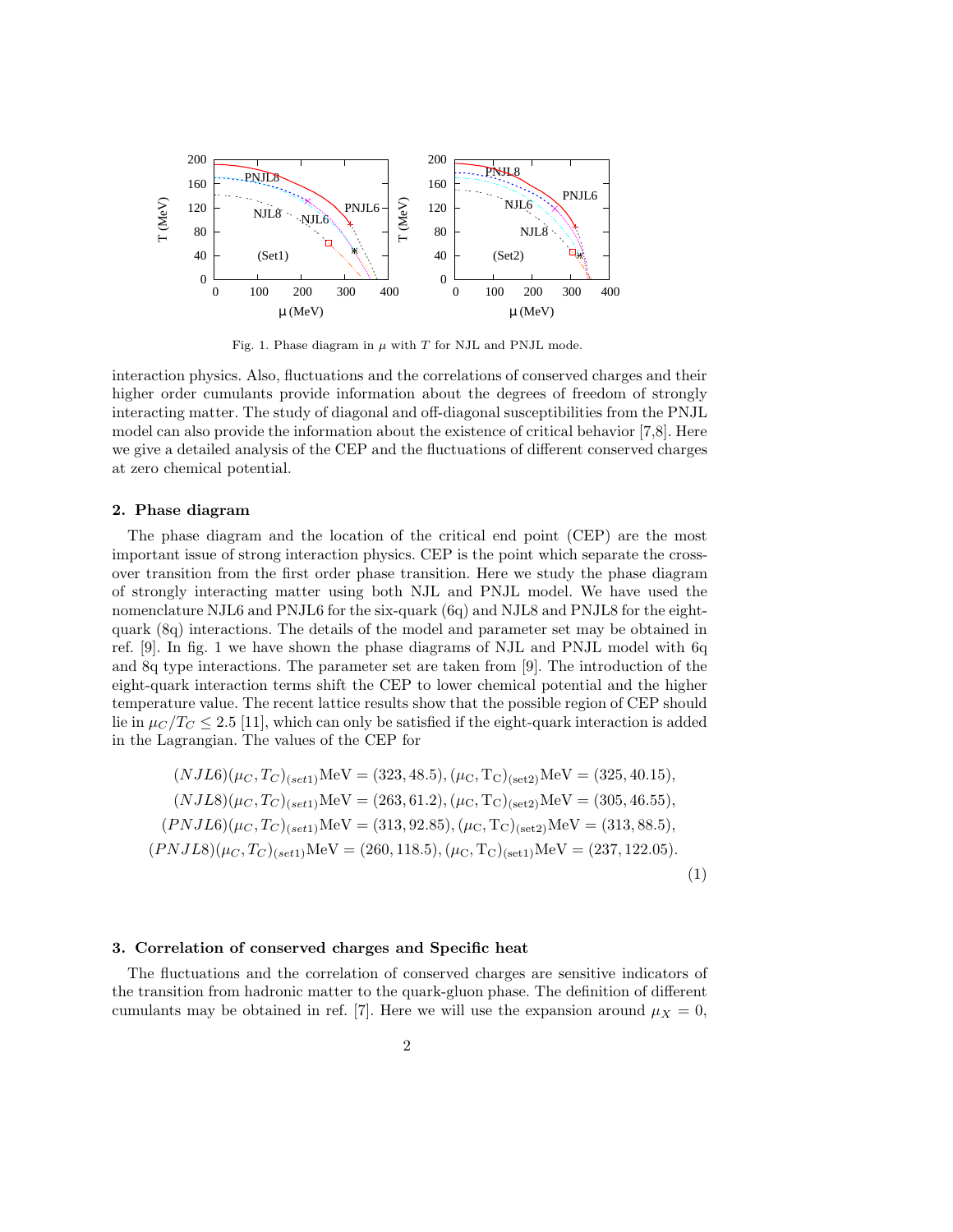

Fig. 1. Phase diagram in  $\mu$  with T for NJL and PNJL mode.

interaction physics. Also, fluctuations and the correlations of conserved charges and their higher order cumulants provide information about the degrees of freedom of strongly interacting matter. The study of diagonal and off-diagonal susceptibilities from the PNJL model can also provide the information about the existence of critical behavior [7,8]. Here we give a detailed analysis of the CEP and the fluctuations of different conserved charges at zero chemical potential.

### 2. Phase diagram

The phase diagram and the location of the critical end point (CEP) are the most important issue of strong interaction physics. CEP is the point which separate the crossover transition from the first order phase transition. Here we study the phase diagram of strongly interacting matter using both NJL and PNJL model. We have used the nomenclature NJL6 and PNJL6 for the six-quark (6q) and NJL8 and PNJL8 for the eightquark (8q) interactions. The details of the model and parameter set may be obtained in ref. [9]. In fig. 1 we have shown the phase diagrams of NJL and PNJL model with 6q and 8q type interactions. The parameter set are taken from [9]. The introduction of the eight-quark interaction terms shift the CEP to lower chemical potential and the higher temperature value. The recent lattice results show that the possible region of CEP should lie in  $\mu_C/T_C \leq 2.5$  [11], which can only be satisfied if the eight-quark interaction is added in the Lagrangian. The values of the CEP for

$$
(NJL6)(\mu_C, T_C)_{(set1)}\text{MeV} = (323, 48.5), (\mu_C, T_C)_{(set2)}\text{MeV} = (325, 40.15),(NJL8)(\mu_C, T_C)_{(set1)}\text{MeV} = (263, 61.2), (\mu_C, T_C)_{(set2)}\text{MeV} = (305, 46.55),(PNJL6)(\mu_C, T_C)_{(set1)}\text{MeV} = (313, 92.85), (\mu_C, T_C)_{(set2)}\text{MeV} = (313, 88.5),(PNJL8)(\mu_C, T_C)_{(set1)}\text{MeV} = (260, 118.5), (\mu_C, T_C)_{(set1)}\text{MeV} = (237, 122.05).
$$
\n(1)

# 3. Correlation of conserved charges and Specific heat

The fluctuations and the correlation of conserved charges are sensitive indicators of the transition from hadronic matter to the quark-gluon phase. The definition of different cumulants may be obtained in ref. [7]. Here we will use the expansion around  $\mu_X = 0$ ,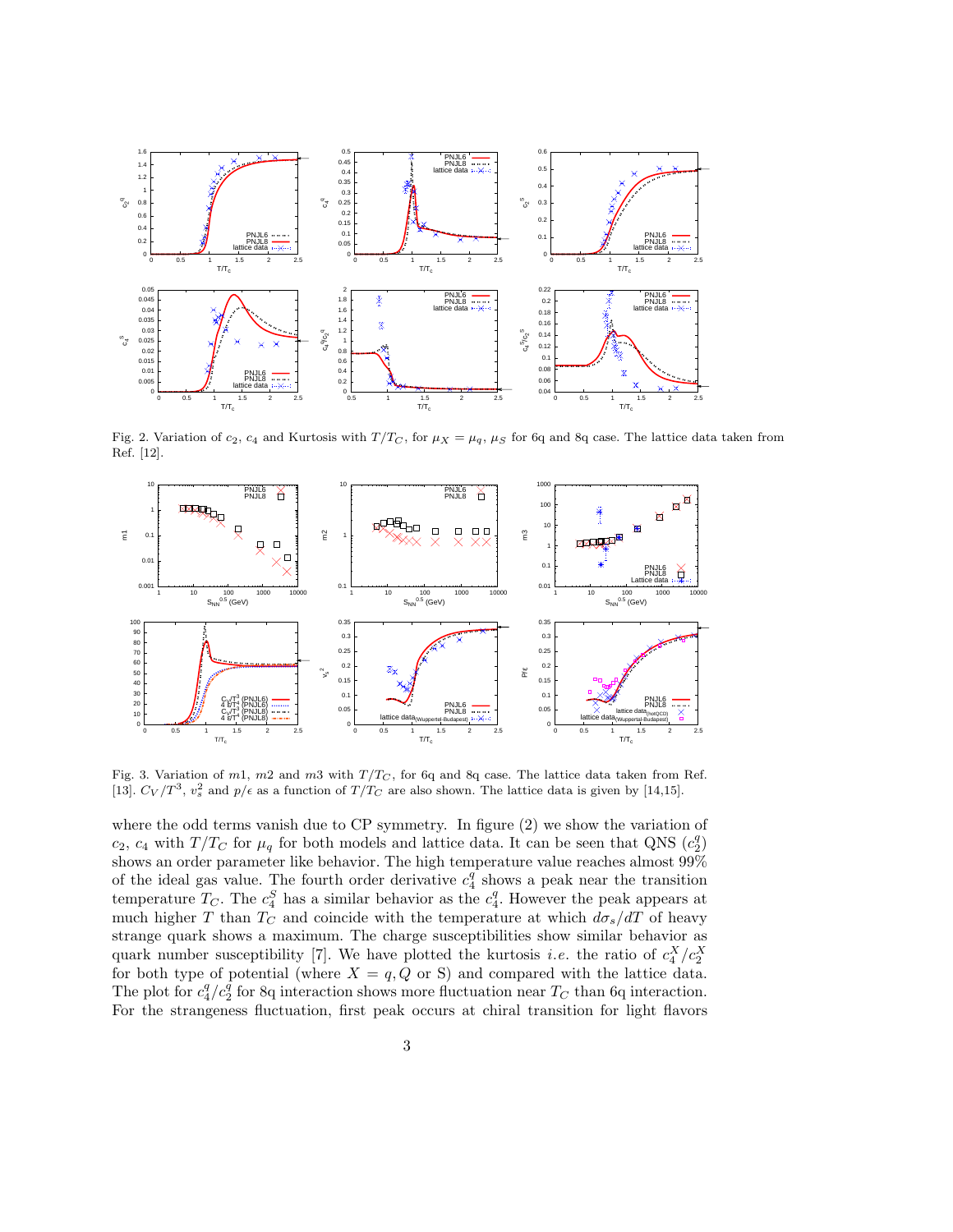

Fig. 2. Variation of  $c_2$ ,  $c_4$  and Kurtosis with  $T/T_C$ , for  $\mu_X = \mu_q$ ,  $\mu_S$  for 6q and 8q case. The lattice data taken from Ref. [12].



Fig. 3. Variation of m1, m2 and m3 with  $T/T_C$ , for 6q and 8q case. The lattice data taken from Ref. [13].  $C_V/T^3$ ,  $v_s^2$  and  $p/\epsilon$  as a function of  $T/T_C$  are also shown. The lattice data is given by [14,15].

where the odd terms vanish due to CP symmetry. In figure (2) we show the variation of  $c_2$ ,  $c_4$  with  $T/T_C$  for  $\mu_q$  for both models and lattice data. It can be seen that QNS  $(c_2^q)$ shows an order parameter like behavior. The high temperature value reaches almost  $99\%$ of the ideal gas value. The fourth order derivative  $c_4^q$  shows a peak near the transition temperature  $T_C$ . The  $c_4^S$  has a similar behavior as the  $c_4^q$ . However the peak appears at much higher T than  $T_C$  and coincide with the temperature at which  $d\sigma_s/dT$  of heavy strange quark shows a maximum. The charge susceptibilities show similar behavior as quark number susceptibility [7]. We have plotted the kurtosis *i.e.* the ratio of  $c_4^X/c_2^X$ for both type of potential (where  $X = q, Q$  or S) and compared with the lattice data. The plot for  $c_4^q/c_2^q$  for 8q interaction shows more fluctuation near  $T_C$  than 6q interaction. For the strangeness fluctuation, first peak occurs at chiral transition for light flavors